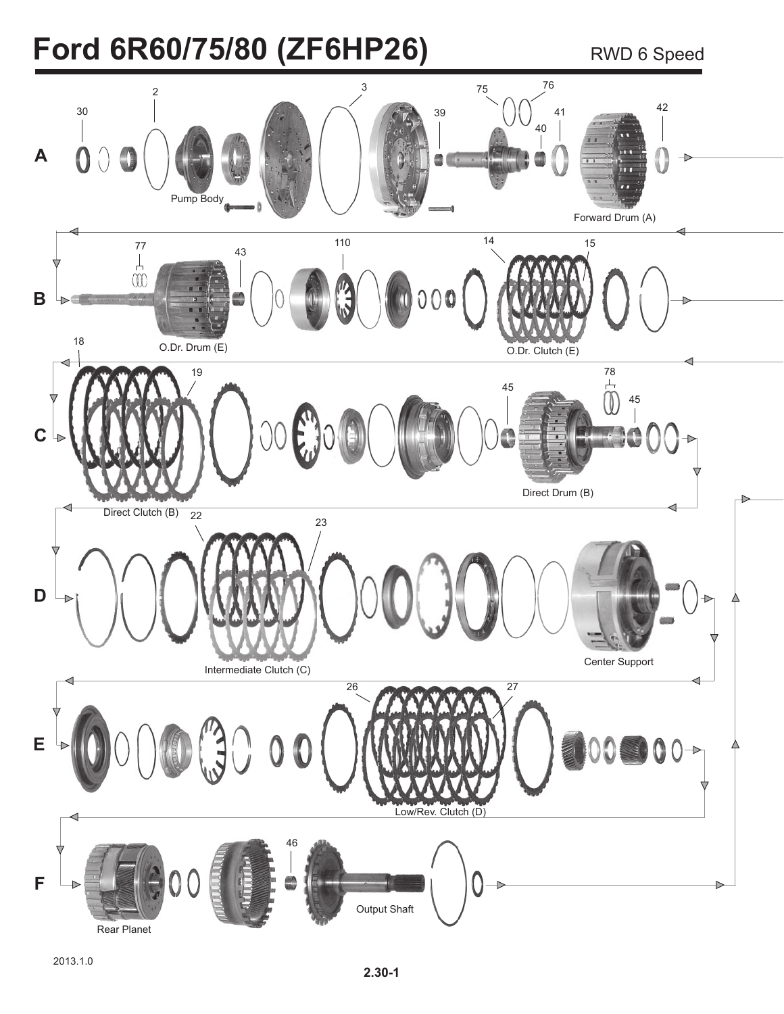## **Ford 6R60/75/80 (ZF6HP26)** RWD 6 Speed

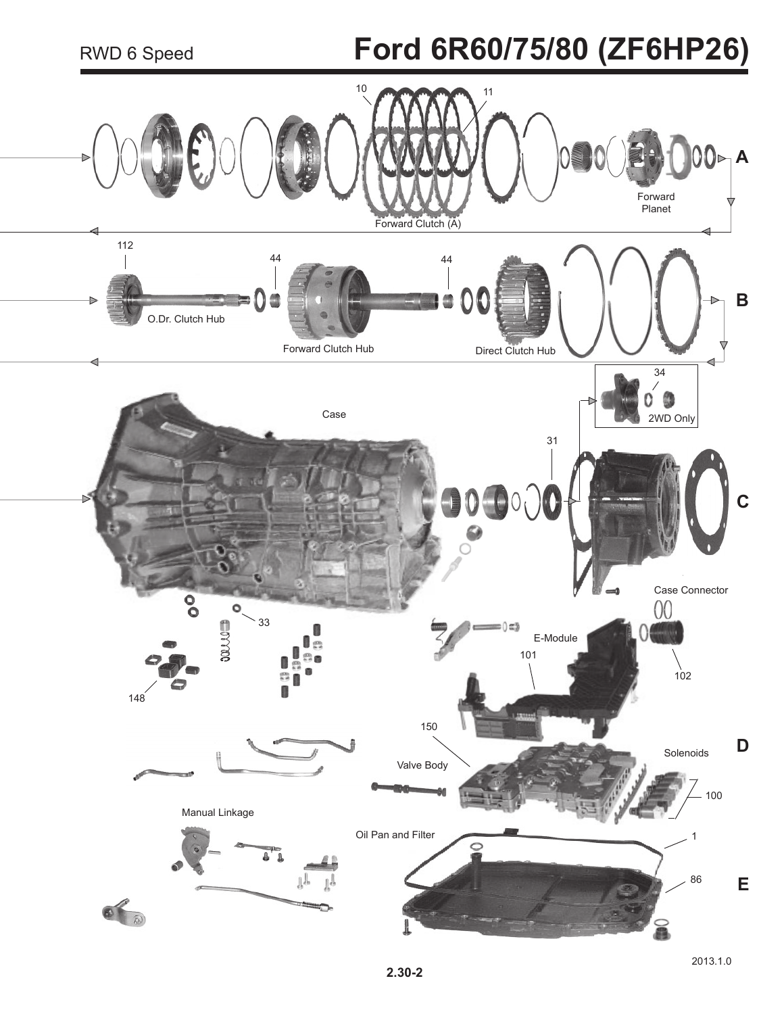# **Ford 6R60/75/80 (ZF6HP26)**

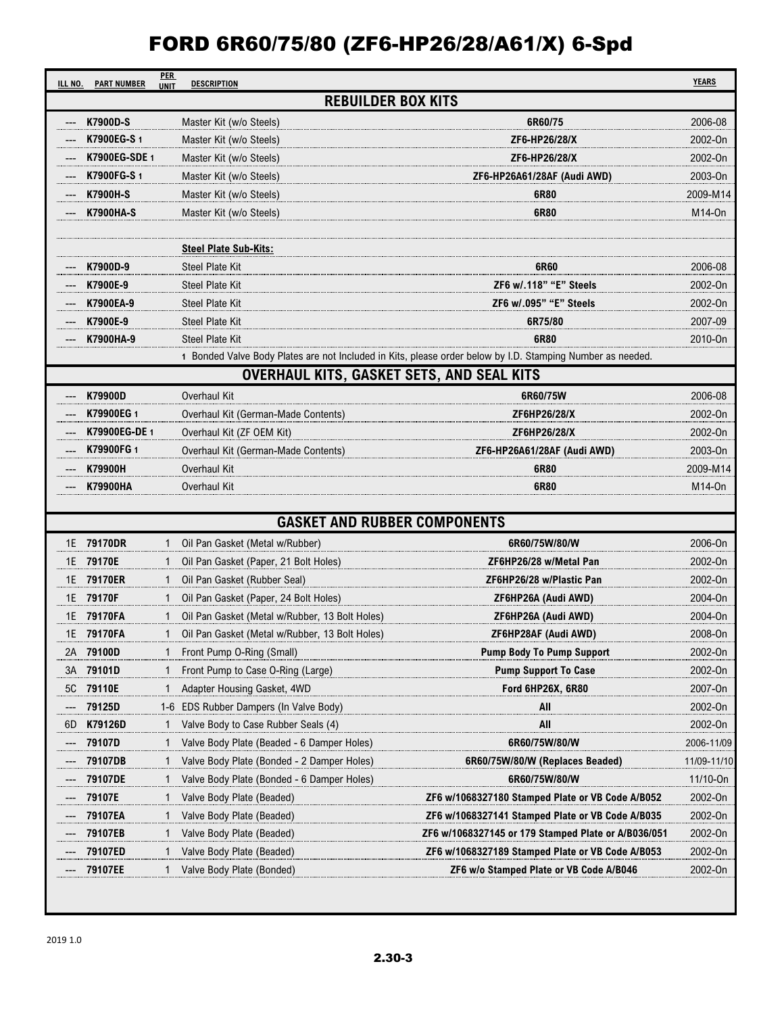| ILL NO. | <b>PER</b><br><b>PART NUMBER</b><br><b>UNIT</b> | <b>DESCRIPTION</b>                               |                                                                                                            | <b>YEARS</b> |  |  |
|---------|-------------------------------------------------|--------------------------------------------------|------------------------------------------------------------------------------------------------------------|--------------|--|--|
|         | <b>REBUILDER BOX KITS</b>                       |                                                  |                                                                                                            |              |  |  |
|         | <b>K7900D-S</b>                                 | Master Kit (w/o Steels)                          | 6R60/75                                                                                                    | 2006-08      |  |  |
|         | K7900EG-S 1                                     | Master Kit (w/o Steels)                          | ZF6-HP26/28/X                                                                                              | 2002-On      |  |  |
|         | <b>K7900EG-SDE1</b>                             | Master Kit (w/o Steels)                          | ZF6-HP26/28/X                                                                                              | 2002-On      |  |  |
|         | <b>K7900FG-S1</b>                               | Master Kit (w/o Steels)                          | ZF6-HP26A61/28AF (Audi AWD)                                                                                | 2003-On      |  |  |
|         | <b>K7900H-S</b>                                 | Master Kit (w/o Steels)                          | 6R80                                                                                                       | 2009-M14     |  |  |
|         | <b>K7900HA-S</b>                                | Master Kit (w/o Steels)                          | 6R80                                                                                                       | M14-0n       |  |  |
|         |                                                 |                                                  |                                                                                                            |              |  |  |
|         |                                                 | <b>Steel Plate Sub-Kits:</b>                     |                                                                                                            |              |  |  |
|         | K7900D-9                                        | <b>Steel Plate Kit</b>                           | 6R60                                                                                                       | 2006-08      |  |  |
|         | K7900E-9                                        | <b>Steel Plate Kit</b>                           | ZF6 w/.118" "E" Steels                                                                                     | 2002-On      |  |  |
|         | K7900EA-9                                       | <b>Steel Plate Kit</b>                           | ZF6 w/.095" "E" Steels                                                                                     | 2002-On      |  |  |
|         | K7900E-9                                        | <b>Steel Plate Kit</b>                           | 6R75/80                                                                                                    | 2007-09      |  |  |
|         | K7900HA-9                                       | <b>Steel Plate Kit</b>                           | 6R80                                                                                                       | 2010-On      |  |  |
|         |                                                 |                                                  | 1 Bonded Valve Body Plates are not Included in Kits, please order below by I.D. Stamping Number as needed. |              |  |  |
|         |                                                 | <b>OVERHAUL KITS, GASKET SETS, AND SEAL KITS</b> |                                                                                                            |              |  |  |
|         | K79900D                                         | Overhaul Kit                                     | 6R60/75W                                                                                                   | 2006-08      |  |  |
|         | K79900EG 1                                      | Overhaul Kit (German-Made Contents)              | ZF6HP26/28/X                                                                                               | 2002-On      |  |  |
|         | K79900EG-DE 1                                   | Overhaul Kit (ZF OEM Kit)                        | ZF6HP26/28/X                                                                                               | 2002-On      |  |  |
|         | K79900FG 1                                      | Overhaul Kit (German-Made Contents)              | ZF6-HP26A61/28AF (Audi AWD)                                                                                | 2003-On      |  |  |
|         | K79900H                                         | Overhaul Kit                                     | 6R80                                                                                                       | 2009-M14     |  |  |
|         | K79900HA                                        | Overhaul Kit                                     | 6R80                                                                                                       | M14-0n       |  |  |
|         |                                                 |                                                  |                                                                                                            |              |  |  |
|         |                                                 | <b>GASKET AND RUBBER COMPONENTS</b>              |                                                                                                            |              |  |  |
| 1E      | 79170DR<br>1                                    | Oil Pan Gasket (Metal w/Rubber)                  | 6R60/75W/80/W                                                                                              | 2006-On      |  |  |
|         | 1E 79170E<br>$\mathbf{1}$                       | Oil Pan Gasket (Paper, 21 Bolt Holes)            | ZF6HP26/28 w/Metal Pan                                                                                     | 2002-On      |  |  |
| 1E      | 79170ER                                         | Oil Pan Gasket (Rubber Seal)                     | ZF6HP26/28 w/Plastic Pan                                                                                   | 2002-On      |  |  |
|         | 1E 79170F<br>1                                  | Oil Pan Gasket (Paper, 24 Bolt Holes)            | ZF6HP26A (Audi AWD)                                                                                        | 2004-On      |  |  |
|         | 1E 79170FA<br>1                                 | Oil Pan Gasket (Metal w/Rubber, 13 Bolt Holes)   | ZF6HP26A (Audi AWD)                                                                                        | 2004-On      |  |  |
|         | 1E 79170FA<br>1                                 | Oil Pan Gasket (Metal w/Rubber, 13 Bolt Holes)   | ZF6HP28AF (Audi AWD)                                                                                       | 2008-On      |  |  |
| 2A      | 79100D                                          | Front Pump O-Ring (Small)                        | <b>Pump Body To Pump Support</b>                                                                           | 2002-On      |  |  |
| 3A      | 79101D                                          | Front Pump to Case O-Ring (Large)                | <b>Pump Support To Case</b>                                                                                | 2002-On      |  |  |
| 5C      | 79110E<br>1                                     | Adapter Housing Gasket, 4WD                      | Ford 6HP26X, 6R80                                                                                          | 2007-On      |  |  |
|         | 79125D                                          | 1-6 EDS Rubber Dampers (In Valve Body)           | All                                                                                                        | 2002-On      |  |  |
| 6D      | K79126D<br>1                                    | Valve Body to Case Rubber Seals (4)              | All                                                                                                        | 2002-On      |  |  |
|         | 79107D                                          | Valve Body Plate (Beaded - 6 Damper Holes)       | 6R60/75W/80/W                                                                                              | 2006-11/09   |  |  |
|         | 79107DB                                         | Valve Body Plate (Bonded - 2 Damper Holes)       | 6R60/75W/80/W (Replaces Beaded)                                                                            | 11/09-11/10  |  |  |
|         | 79107DE                                         | Valve Body Plate (Bonded - 6 Damper Holes)       | 6R60/75W/80/W                                                                                              | 11/10-0n     |  |  |
|         | 79107E<br>1                                     | Valve Body Plate (Beaded)                        | ZF6 w/1068327180 Stamped Plate or VB Code A/B052                                                           | 2002-On      |  |  |
|         | 79107EA<br>1                                    | Valve Body Plate (Beaded)                        | ZF6 w/1068327141 Stamped Plate or VB Code A/B035                                                           | 2002-On      |  |  |
|         | 79107EB<br>1                                    | Valve Body Plate (Beaded)                        | ZF6 w/1068327145 or 179 Stamped Plate or A/B036/051                                                        | 2002-On      |  |  |
|         | 79107ED                                         | Valve Body Plate (Beaded)                        | ZF6 w/1068327189 Stamped Plate or VB Code A/B053                                                           | 2002-On      |  |  |
|         | 79107EE                                         | Valve Body Plate (Bonded)                        | ZF6 w/o Stamped Plate or VB Code A/B046                                                                    | 2002-On      |  |  |
|         |                                                 |                                                  |                                                                                                            |              |  |  |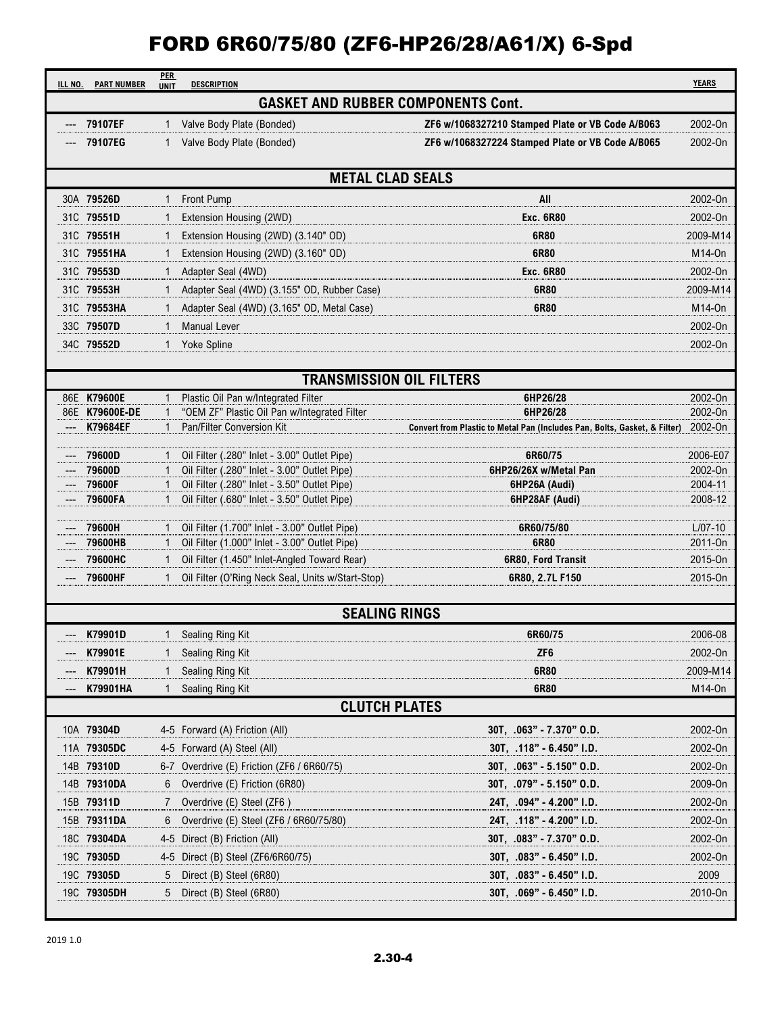| ILL NO. | <b>PART NUMBER</b>            | <b>PER</b>   | <b>DESCRIPTION</b>                                                                           |                                                                           | <b>YEARS</b>       |
|---------|-------------------------------|--------------|----------------------------------------------------------------------------------------------|---------------------------------------------------------------------------|--------------------|
|         |                               | <b>UNIT</b>  | <b>GASKET AND RUBBER COMPONENTS Cont.</b>                                                    |                                                                           |                    |
|         | 79107EF                       |              | Valve Body Plate (Bonded)                                                                    | ZF6 w/1068327210 Stamped Plate or VB Code A/B063                          | 2002-On            |
|         | 79107EG                       | 1            | Valve Body Plate (Bonded)                                                                    | ZF6 w/1068327224 Stamped Plate or VB Code A/B065                          | 2002-On            |
|         |                               |              |                                                                                              |                                                                           |                    |
|         |                               |              | <b>METAL CLAD SEALS</b>                                                                      |                                                                           |                    |
|         | 30A 79526D                    | 1            | Front Pump                                                                                   | All                                                                       | 2002-On            |
|         | 31C 79551D                    | 1            | Extension Housing (2WD)                                                                      | <b>Exc. 6R80</b>                                                          | 2002-On            |
|         | 31C 79551H                    | 1            | Extension Housing (2WD) (3.140" OD)                                                          | 6R80                                                                      | 2009-M14           |
|         | 31C 79551HA                   |              | Extension Housing (2WD) (3.160" OD)                                                          | 6R80                                                                      | M14-0n             |
|         | 31C 79553D                    | 1            | Adapter Seal (4WD)                                                                           | <b>Exc. 6R80</b>                                                          | 2002-On            |
|         | 31C 79553H                    | 1            | Adapter Seal (4WD) (3.155" OD, Rubber Case)                                                  | 6R80                                                                      | 2009-M14           |
|         | 31C 79553HA                   |              | Adapter Seal (4WD) (3.165" OD, Metal Case)                                                   | 6R80                                                                      | M14-0n             |
|         | 33C 79507D                    | $\mathbf{1}$ | <b>Manual Lever</b>                                                                          |                                                                           | 2002-On            |
|         | 34C 79552D                    | 1            | <b>Yoke Spline</b>                                                                           |                                                                           | 2002-On            |
|         |                               |              |                                                                                              |                                                                           |                    |
|         |                               |              | <b>TRANSMISSION OIL FILTERS</b>                                                              |                                                                           |                    |
|         | 86E K79600E<br>86E K79600E-DE |              | Plastic Oil Pan w/Integrated Filter<br>"OEM ZF" Plastic Oil Pan w/Integrated Filter          | 6HP26/28<br>6HP26/28                                                      | 2002-On<br>2002-On |
|         | K79684EF                      | 1            | Pan/Filter Conversion Kit                                                                    | Convert from Plastic to Metal Pan (Includes Pan, Bolts, Gasket, & Filter) | 2002-On            |
|         |                               |              |                                                                                              |                                                                           |                    |
|         | 79600D                        |              | Oil Filter (.280" Inlet - 3.00" Outlet Pipe)                                                 | 6R60/75                                                                   | 2006-E07           |
|         | 79600D<br>79600F              |              | Oil Filter (.280" Inlet - 3.00" Outlet Pipe)<br>Oil Filter (.280" Inlet - 3.50" Outlet Pipe) | 6HP26/26X w/Metal Pan<br>6HP26A (Audi)                                    | 2002-On<br>2004-11 |
|         | 79600FA                       |              | Oil Filter (.680" Inlet - 3.50" Outlet Pipe)                                                 | 6HP28AF (Audi)                                                            | 2008-12            |
|         |                               |              |                                                                                              |                                                                           |                    |
|         | 79600H                        |              | Oil Filter (1.700" Inlet - 3.00" Outlet Pipe)                                                | 6R60/75/80                                                                | $L/07-10$          |
|         | 79600HB                       | $\mathbf{1}$ | Oil Filter (1.000" Inlet - 3.00" Outlet Pipe)                                                | 6R80                                                                      | 2011-0n            |
|         | 79600HC                       | 1            | Oil Filter (1.450" Inlet-Angled Toward Rear)                                                 | 6R80, Ford Transit                                                        | 2015-On            |
|         | 79600HF                       | 1            | Oil Filter (O'Ring Neck Seal, Units w/Start-Stop)                                            | 6R80, 2.7L F150                                                           | 2015-On            |
|         |                               |              | <b>SEALING RINGS</b>                                                                         |                                                                           |                    |
|         | K79901D                       |              | 1 Sealing Ring Kit                                                                           | 6R60/75                                                                   | 2006-08            |
|         | K79901E                       |              | Sealing Ring Kit                                                                             | ZF <sub>6</sub>                                                           | 2002-On            |
|         | K79901H                       | 1            | Sealing Ring Kit                                                                             | 6R80                                                                      | 2009-M14           |
|         | K79901HA                      | 1            | Sealing Ring Kit                                                                             | 6R80                                                                      | M14-0n             |
|         |                               |              | <b>CLUTCH PLATES</b>                                                                         |                                                                           |                    |
|         | 10A 79304D                    |              | 4-5 Forward (A) Friction (All)                                                               | $30T, .063" - 7.370"$ O.D.                                                | 2002-On            |
|         | 11A 79305DC                   |              | 4-5 Forward (A) Steel (All)                                                                  | 30T, .118" - 6.450" I.D.                                                  | 2002-On            |
|         | 14B 79310D                    |              | 6-7 Overdrive (E) Friction (ZF6 / 6R60/75)                                                   | 30T, .063" - 5.150" O.D.                                                  | 2002-On            |
|         | 14B 79310DA                   |              | Overdrive (E) Friction (6R80)                                                                | 30T, .079" - 5.150" O.D.                                                  | 2009-On            |
|         | 15B 79311D                    |              | Overdrive (E) Steel (ZF6)                                                                    | 24T, .094" - 4.200" I.D.                                                  | 2002-On            |
|         | 15B 79311DA                   | 6            | Overdrive (E) Steel (ZF6 / 6R60/75/80)                                                       | 24T, .118" - 4.200" I.D.                                                  | 2002-On            |
|         | 18C 79304DA                   |              | 4-5 Direct (B) Friction (All)                                                                | 30T, .083" - 7.370" O.D.                                                  | 2002-On            |
|         | 19C 79305D                    |              | 4-5 Direct (B) Steel (ZF6/6R60/75)                                                           | 30T, .083" - 6.450" I.D.                                                  | 2002-On            |
|         | 19C 79305D                    |              | Direct (B) Steel (6R80)                                                                      | 30T, .083" - 6.450" I.D.                                                  | 2009               |
|         | 19C 79305DH                   | 5            | Direct (B) Steel (6R80)                                                                      | $30T, .069" - 6.450" I.D.$                                                | 2010-On            |
|         |                               |              |                                                                                              |                                                                           |                    |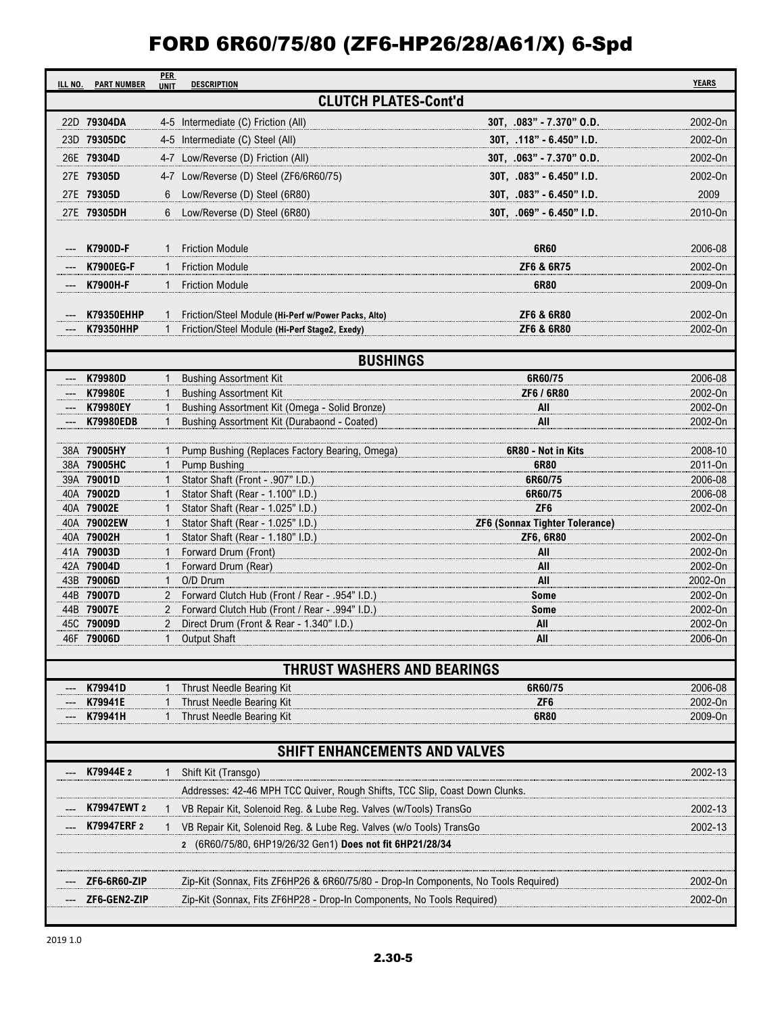| ILL NO. | <b>PART NUMBER</b>           | <b>PER</b><br><b>UNIT</b>    | <b>DESCRIPTION</b>                                                                  |                                             | <b>YEARS</b>       |
|---------|------------------------------|------------------------------|-------------------------------------------------------------------------------------|---------------------------------------------|--------------------|
|         |                              |                              | <b>CLUTCH PLATES-Cont'd</b>                                                         |                                             |                    |
|         | 22D 79304DA                  |                              | 4-5 Intermediate (C) Friction (All)                                                 | 30T, .083" - 7.370" O.D.                    | 2002-On            |
|         | 23D 79305DC                  |                              | 4-5 Intermediate (C) Steel (All)                                                    | 30T, .118" - 6.450" I.D.                    | 2002-On            |
|         | 26E 79304D                   |                              | 4-7 Low/Reverse (D) Friction (All)                                                  | 30T, .063" - 7.370" O.D.                    | 2002-On            |
|         | 27E 79305D                   |                              | 4-7 Low/Reverse (D) Steel (ZF6/6R60/75)                                             | 30T, .083" - 6.450" I.D.                    | 2002-On            |
|         | 27E 79305D                   | 6                            | Low/Reverse (D) Steel (6R80)                                                        | 30T, .083" - 6.450" I.D.                    | 2009               |
|         | 27E 79305DH                  | 6                            | Low/Reverse (D) Steel (6R80)                                                        | $30T, .069" - 6.450" I.D.$                  | 2010-On            |
|         |                              |                              |                                                                                     |                                             |                    |
|         | K7900D-F                     | 1                            | <b>Friction Module</b>                                                              | 6R60                                        | 2006-08            |
|         |                              |                              |                                                                                     | ZF6 & 6R75                                  | 2002-On            |
|         | <b>K7900EG-F</b>             | $\mathbf{1}$                 | <b>Friction Module</b>                                                              |                                             |                    |
|         | K7900H-F                     | $\mathbf{1}$                 | <b>Friction Module</b>                                                              | 6R80                                        | 2009-On            |
|         | <b>K79350EHHP</b>            | 1                            | Friction/Steel Module (Hi-Perf w/Power Packs, Alto)                                 | <b>ZF6 &amp; 6R80</b>                       | 2002-On            |
|         | <b>K79350HHP</b>             | $\mathbf{1}$                 | Friction/Steel Module (Hi-Perf Stage2, Exedy)                                       | <b>ZF6 &amp; 6R80</b>                       | 2002-On            |
|         |                              |                              |                                                                                     |                                             |                    |
|         |                              |                              | <b>BUSHINGS</b>                                                                     |                                             |                    |
|         | K79980D                      | 1                            | <b>Bushing Assortment Kit</b>                                                       | 6R60/75                                     | 2006-08            |
|         | K79980E                      | $\mathbf{1}$                 | <b>Bushing Assortment Kit</b>                                                       | ZF6 / 6R80                                  | 2002-On            |
|         | K79980EY<br><b>K79980EDB</b> | $\mathbf{1}$<br>$\mathbf{1}$ | Bushing Assortment Kit (Omega - Solid Bronze)                                       | All<br>All                                  | 2002-On<br>2002-On |
|         |                              |                              | Bushing Assortment Kit (Durabaond - Coated)                                         |                                             |                    |
|         | 38A 79005HY                  |                              | Pump Bushing (Replaces Factory Bearing, Omega)                                      | 6R80 - Not in Kits                          | 2008-10            |
|         | 38A 79005HC                  |                              | Pump Bushing                                                                        | 6R80                                        | 2011-On            |
|         | 39A 79001D                   |                              | Stator Shaft (Front - .907" I.D.)                                                   | 6R60/75                                     | 2006-08            |
|         | 40A 79002D                   |                              | Stator Shaft (Rear - 1.100" I.D.)                                                   | 6R60/75                                     | 2006-08            |
|         | 40A 79002E                   | $\mathbf{1}$                 | Stator Shaft (Rear - 1.025" I.D.)                                                   | ZF <sub>6</sub>                             | 2002-On            |
|         | 40A 79002EW<br>40A 79002H    | $\mathbf{1}$<br>1            | Stator Shaft (Rear - 1.025" I.D.)<br>Stator Shaft (Rear - 1.180" I.D.)              | ZF6 (Sonnax Tighter Tolerance)<br>ZF6, 6R80 | 2002-On            |
|         | 41A 79003D                   |                              | Forward Drum (Front)                                                                | All                                         | 2002-On            |
|         | 42A 79004D                   |                              | Forward Drum (Rear)                                                                 | All                                         | 2002-On            |
|         | 43B 79006D                   |                              | O/D Drum                                                                            | All                                         | 2002-On            |
|         | 44B 79007D                   |                              | Forward Clutch Hub (Front / Rear - .954" I.D.)                                      | <b>Some</b>                                 | 2002-On            |
|         | 44B 79007E                   |                              | Forward Clutch Hub (Front / Rear - .994" I.D.)                                      | <b>Some</b>                                 | 2002-On            |
|         | 45C 79009D                   | 2                            | Direct Drum (Front & Rear - 1.340" I.D.)                                            | All                                         | 2002-On            |
|         | 46F 79006D                   | $\mathbf{1}$                 | <b>Output Shaft</b>                                                                 | All                                         | 2006-On            |
|         |                              |                              | THRUST WASHERS AND BEARINGS                                                         |                                             |                    |
|         | K79941D                      |                              | Thrust Needle Bearing Kit                                                           | 6R60/75                                     | 2006-08            |
|         | K79941E                      |                              | Thrust Needle Bearing Kit                                                           | ZF <sub>6</sub>                             | 2002-On            |
|         | K79941H                      |                              | Thrust Needle Bearing Kit                                                           | 6R80                                        | 2009-On            |
|         |                              |                              |                                                                                     |                                             |                    |
|         |                              |                              | SHIFT ENHANCEMENTS AND VALVES                                                       |                                             |                    |
|         | K79944E 2                    |                              | Shift Kit (Transgo)                                                                 |                                             | 2002-13            |
|         |                              |                              | Addresses: 42-46 MPH TCC Quiver, Rough Shifts, TCC Slip, Coast Down Clunks.         |                                             |                    |
|         | K79947EWT 2                  |                              | VB Repair Kit, Solenoid Reg. & Lube Reg. Valves (w/Tools) TransGo                   |                                             | 2002-13            |
|         | K79947ERF 2                  |                              | VB Repair Kit, Solenoid Reg. & Lube Reg. Valves (w/o Tools) TransGo                 |                                             | 2002-13            |
|         |                              |                              | 2 (6R60/75/80, 6HP19/26/32 Gen1) Does not fit 6HP21/28/34                           |                                             |                    |
|         |                              |                              |                                                                                     |                                             |                    |
|         |                              |                              |                                                                                     |                                             |                    |
|         | ZF6-6R60-ZIP                 |                              | Zip-Kit (Sonnax, Fits ZF6HP26 & 6R60/75/80 - Drop-In Components, No Tools Required) |                                             | 2002-On            |
|         | ZF6-GEN2-ZIP                 |                              | Zip-Kit (Sonnax, Fits ZF6HP28 - Drop-In Components, No Tools Required)              |                                             | 2002-On            |
|         |                              |                              |                                                                                     |                                             |                    |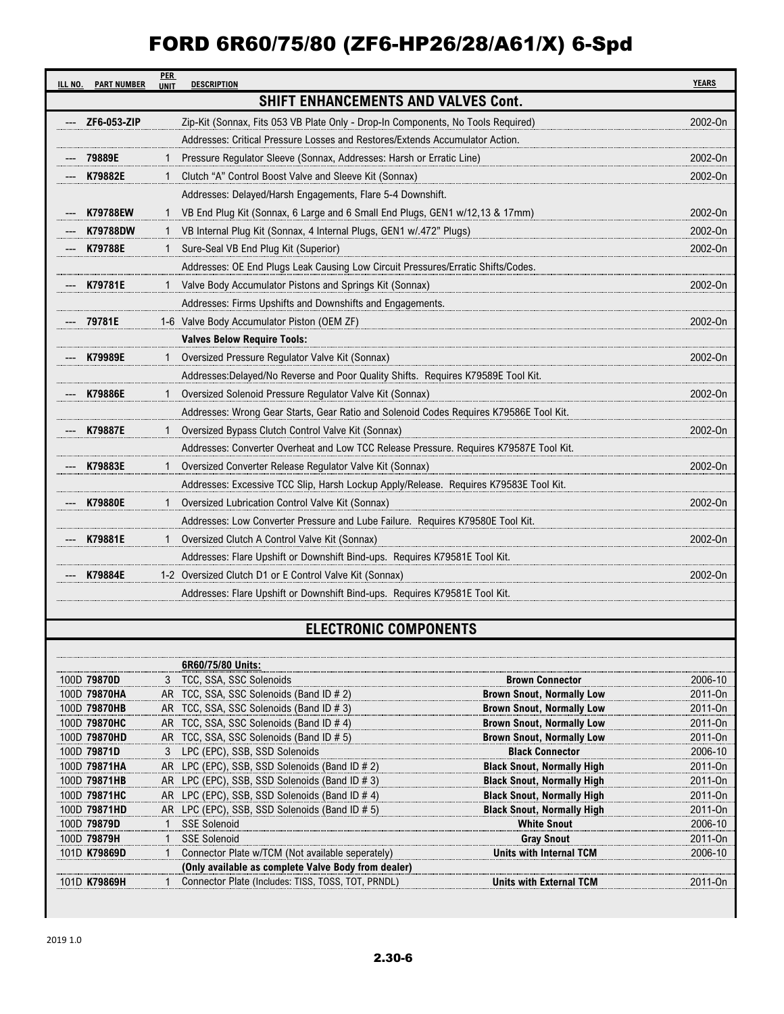| ILL NO. | <b>PART NUMBER</b> | <b>PER</b><br><b>UNIT</b> | <b>DESCRIPTION</b>                                                                     | <b>YEARS</b> |
|---------|--------------------|---------------------------|----------------------------------------------------------------------------------------|--------------|
|         |                    |                           | SHIFT ENHANCEMENTS AND VALVES Cont.                                                    |              |
|         | ZF6-053-ZIP        |                           | Zip-Kit (Sonnax, Fits 053 VB Plate Only - Drop-In Components, No Tools Required)       | 2002-0n      |
|         |                    |                           | Addresses: Critical Pressure Losses and Restores/Extends Accumulator Action.           |              |
|         | 79889E             |                           | Pressure Regulator Sleeve (Sonnax, Addresses: Harsh or Erratic Line)                   | 2002-On      |
|         | K79882E            |                           | Clutch "A" Control Boost Valve and Sleeve Kit (Sonnax)                                 | 2002-0n      |
|         |                    |                           | Addresses: Delayed/Harsh Engagements, Flare 5-4 Downshift.                             |              |
|         | <b>K79788EW</b>    |                           | VB End Plug Kit (Sonnax, 6 Large and 6 Small End Plugs, GEN1 w/12,13 & 17mm)           | 2002-On      |
|         | <b>K79788DW</b>    | 1                         | VB Internal Plug Kit (Sonnax, 4 Internal Plugs, GEN1 w/.472" Plugs)                    | 2002-On      |
|         | K79788E            |                           | Sure-Seal VB End Plug Kit (Superior)                                                   | 2002-0n      |
|         |                    |                           | Addresses: OE End Plugs Leak Causing Low Circuit Pressures/Erratic Shifts/Codes.       |              |
|         | --- K79781E        |                           | Valve Body Accumulator Pistons and Springs Kit (Sonnax)                                | 2002-On      |
|         |                    |                           | Addresses: Firms Upshifts and Downshifts and Engagements.                              |              |
|         | 79781E             |                           | 1-6 Valve Body Accumulator Piston (OEM ZF)                                             | 2002-0n      |
|         |                    |                           | <b>Valves Below Require Tools:</b>                                                     |              |
|         | --- K79989E        |                           | Oversized Pressure Regulator Valve Kit (Sonnax)                                        | 2002-On      |
|         |                    |                           | Addresses: Delayed/No Reverse and Poor Quality Shifts. Requires K79589E Tool Kit.      |              |
|         | K79886E            |                           | Oversized Solenoid Pressure Regulator Valve Kit (Sonnax)                               | 2002-On      |
|         |                    |                           | Addresses: Wrong Gear Starts, Gear Ratio and Solenoid Codes Requires K79586E Tool Kit. |              |
|         | K79887E            |                           | Oversized Bypass Clutch Control Valve Kit (Sonnax)                                     | 2002-On      |
|         |                    |                           | Addresses: Converter Overheat and Low TCC Release Pressure. Requires K79587E Tool Kit. |              |
|         | K79883E            |                           | Oversized Converter Release Regulator Valve Kit (Sonnax)                               | 2002-On      |
|         |                    |                           | Addresses: Excessive TCC Slip, Harsh Lockup Apply/Release. Requires K79583E Tool Kit.  |              |
|         | <b>K79880E</b>     |                           | Oversized Lubrication Control Valve Kit (Sonnax)                                       | 2002-On      |
|         |                    |                           | Addresses: Low Converter Pressure and Lube Failure. Requires K79580E Tool Kit.         |              |
|         | K79881E            |                           | Oversized Clutch A Control Valve Kit (Sonnax)                                          | 2002-On      |
|         |                    |                           | Addresses: Flare Upshift or Downshift Bind-ups. Requires K79581E Tool Kit.             |              |
|         | K79884E            |                           | 1-2 Oversized Clutch D1 or E Control Valve Kit (Sonnax)                                | 2002-On      |
|         |                    |                           | Addresses: Flare Upshift or Downshift Bind-ups. Requires K79581E Tool Kit.             |              |

#### **ELECTRONIC COMPONENTS**

|              | 6R60/75/80 Units:                                   |                                   |                     |
|--------------|-----------------------------------------------------|-----------------------------------|---------------------|
| 100D 79870D  | 3 TCC, SSA, SSC Solenoids                           | <b>Brown Connector</b>            | 2006-10             |
| 100D 79870HA | AR TCC, SSA, SSC Solenoids (Band ID # 2)            | <b>Brown Snout, Normally Low</b>  | 2011-0 <sub>n</sub> |
| 100D 79870HB | AR TCC, SSA, SSC Solenoids (Band ID # 3)            | <b>Brown Snout, Normally Low</b>  | 2011-0 <sub>n</sub> |
| 100D 79870HC | AR TCC, SSA, SSC Solenoids (Band ID # 4)            | <b>Brown Snout, Normally Low</b>  | 2011-0 <sub>n</sub> |
| 100D 79870HD | AR TCC, SSA, SSC Solenoids (Band ID # 5)            | <b>Brown Snout, Normally Low</b>  | 2011-0 <sub>n</sub> |
| 100D 79871D  | 3 LPC (EPC), SSB, SSD Solenoids                     | <b>Black Connector</b>            | 2006-10             |
| 100D 79871HA | AR LPC (EPC), SSB, SSD Solenoids (Band ID # 2)      | <b>Black Snout, Normally High</b> | 2011-0 <sub>n</sub> |
| 100D 79871HB | AR LPC (EPC), SSB, SSD Solenoids (Band ID # 3)      | <b>Black Snout, Normally High</b> | 2011-0 <sub>n</sub> |
| 100D 79871HC | AR LPC (EPC), SSB, SSD Solenoids (Band ID # 4)      | <b>Black Snout, Normally High</b> | 2011-0 <sub>n</sub> |
| 100D 79871HD | AR LPC (EPC), SSB, SSD Solenoids (Band ID # 5)      | <b>Black Snout, Normally High</b> | 2011-0 <sub>n</sub> |
| 100D 79879D  | <b>SSE Solenoid</b>                                 | <b>White Snout</b>                | 2006-10             |
| 100D 79879H  | <b>SSE Solenoid</b>                                 | <b>Gray Snout</b>                 | 2011-0 <sub>n</sub> |
| 101D K79869D | Connector Plate w/TCM (Not available seperately)    | <b>Units with Internal TCM</b>    | 2006-10             |
|              | (Only available as complete Valve Body from dealer) |                                   |                     |
| 101D K79869H | Connector Plate (Includes: TISS, TOSS, TOT, PRNDL)  | Units with External TCM           | 2011-0 <sub>n</sub> |
|              |                                                     |                                   |                     |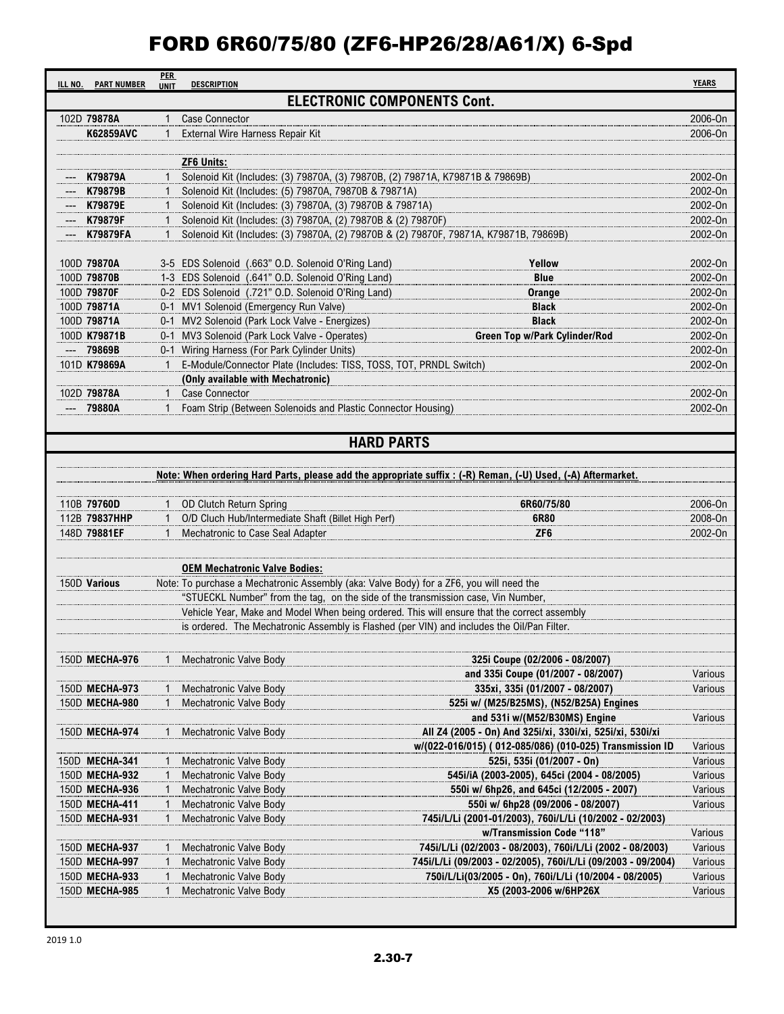| ILL NO.                    | <b>PART NUMBER</b> | <b>PER</b><br><b>UNIT</b> | <b>DESCRIPTION</b>                                                                                                                    |                                                                                                              | <b>YEARS</b>       |  |
|----------------------------|--------------------|---------------------------|---------------------------------------------------------------------------------------------------------------------------------------|--------------------------------------------------------------------------------------------------------------|--------------------|--|
|                            |                    |                           |                                                                                                                                       | <b>ELECTRONIC COMPONENTS Cont.</b>                                                                           |                    |  |
| 102D 79878A                |                    | 1                         | <b>Case Connector</b>                                                                                                                 |                                                                                                              | 2006-On            |  |
|                            | <b>K62859AVC</b>   |                           | 1 External Wire Harness Repair Kit                                                                                                    |                                                                                                              | 2006-On            |  |
|                            |                    |                           |                                                                                                                                       |                                                                                                              |                    |  |
|                            |                    |                           | <b>ZF6 Units:</b>                                                                                                                     |                                                                                                              |                    |  |
|                            | K79879A<br>K79879B | $\mathbf{1}$              | Solenoid Kit (Includes: (3) 79870A, (3) 79870B, (2) 79871A, K79871B & 79869B)<br>Solenoid Kit (Includes: (5) 79870A, 79870B & 79871A) |                                                                                                              | 2002-On<br>2002-On |  |
|                            | --- K79879E        |                           | Solenoid Kit (Includes: (3) 79870A, (3) 79870B & 79871A)                                                                              |                                                                                                              | 2002-On            |  |
|                            | K79879F            |                           | Solenoid Kit (Includes: (3) 79870A, (2) 79870B & (2) 79870F)                                                                          |                                                                                                              | 2002-On            |  |
|                            | <b>K79879FA</b>    |                           | Solenoid Kit (Includes: (3) 79870A, (2) 79870B & (2) 79870F, 79871A, K79871B, 79869B)                                                 |                                                                                                              | 2002-On            |  |
|                            |                    |                           |                                                                                                                                       |                                                                                                              |                    |  |
| 100D 79870A                |                    |                           | 3-5 EDS Solenoid (.663" O.D. Solenoid O'Ring Land)                                                                                    | Yellow                                                                                                       | 2002-On            |  |
| 100D 79870B                |                    |                           | 1-3 EDS Solenoid (.641" O.D. Solenoid O'Ring Land)                                                                                    | <b>Blue</b>                                                                                                  | 2002-On            |  |
| 100D 79870F<br>100D 79871A |                    |                           | 0-2 EDS Solenoid (.721" O.D. Solenoid O'Ring Land)                                                                                    | Orange<br><b>Black</b>                                                                                       | 2002-On<br>2002-On |  |
| 100D 79871A                |                    |                           | 0-1 MV1 Solenoid (Emergency Run Valve)<br>0-1 MV2 Solenoid (Park Lock Valve - Energizes)                                              | <b>Black</b>                                                                                                 | 2002-On            |  |
| 100D K79871B               |                    |                           | 0-1 MV3 Solenoid (Park Lock Valve - Operates)                                                                                         | <b>Green Top w/Park Cylinder/Rod</b>                                                                         | 2002-On            |  |
|                            | 79869B             |                           | 0-1 Wiring Harness (For Park Cylinder Units)                                                                                          |                                                                                                              | 2002-On            |  |
| 101D K79869A               |                    |                           | 1 E-Module/Connector Plate (Includes: TISS, TOSS, TOT, PRNDL Switch)                                                                  |                                                                                                              | 2002-On            |  |
|                            |                    |                           | (Only available with Mechatronic)                                                                                                     |                                                                                                              |                    |  |
| 102D 79878A                |                    | $\mathbf{1}$              | <b>Case Connector</b>                                                                                                                 |                                                                                                              | 2002-On            |  |
|                            | 79880A             |                           | 1 Foam Strip (Between Solenoids and Plastic Connector Housing)                                                                        |                                                                                                              | 2002-On            |  |
|                            |                    |                           |                                                                                                                                       |                                                                                                              |                    |  |
|                            |                    |                           |                                                                                                                                       | <b>HARD PARTS</b>                                                                                            |                    |  |
|                            |                    |                           |                                                                                                                                       |                                                                                                              |                    |  |
|                            |                    |                           |                                                                                                                                       | Note: When ordering Hard Parts, please add the appropriate suffix : (-R) Reman, (-U) Used, (-A) Aftermarket. |                    |  |
| 110B 79760D                |                    | $\mathbf{1}$              | OD Clutch Return Spring                                                                                                               | 6R60/75/80                                                                                                   | 2006-On            |  |
|                            | 112B 79837HHP      |                           | O/D Cluch Hub/Intermediate Shaft (Billet High Perf)                                                                                   | 6R80                                                                                                         | 2008-On            |  |
| 148D 79881EF               |                    |                           | Mechatronic to Case Seal Adapter                                                                                                      | ZF <sub>6</sub>                                                                                              | 2002-On            |  |
|                            |                    |                           |                                                                                                                                       |                                                                                                              |                    |  |
|                            |                    |                           | <b>OEM Mechatronic Valve Bodies:</b>                                                                                                  |                                                                                                              |                    |  |
| 150D Various               |                    |                           | Note: To purchase a Mechatronic Assembly (aka: Valve Body) for a ZF6, you will need the                                               |                                                                                                              |                    |  |
|                            |                    |                           | "STUECKL Number" from the tag, on the side of the transmission case, Vin Number,                                                      |                                                                                                              |                    |  |
|                            |                    |                           | Vehicle Year, Make and Model When being ordered. This will ensure that the correct assembly                                           |                                                                                                              |                    |  |
|                            |                    |                           | is ordered. The Mechatronic Assembly is Flashed (per VIN) and includes the Oil/Pan Filter.                                            |                                                                                                              |                    |  |
|                            |                    |                           |                                                                                                                                       |                                                                                                              |                    |  |
|                            | 150D MECHA-976     |                           | Mechatronic Valve Body                                                                                                                | 325i Coupe (02/2006 - 08/2007)                                                                               |                    |  |
|                            | 150D MECHA-973     |                           | Mechatronic Valve Body                                                                                                                | and 335i Coupe (01/2007 - 08/2007)<br>335xi, 335i (01/2007 - 08/2007)                                        | Various<br>Various |  |
|                            | 150D MECHA-980     |                           | <b>Mechatronic Valve Body</b>                                                                                                         | 525i w/ (M25/B25MS), (N52/B25A) Engines                                                                      |                    |  |
|                            |                    |                           |                                                                                                                                       | and 531i w/(M52/B30MS) Engine                                                                                | Various            |  |
|                            | 150D MECHA-974     | 1                         | Mechatronic Valve Body                                                                                                                | All Z4 (2005 - On) And 325i/xi, 330i/xi, 525i/xi, 530i/xi                                                    |                    |  |
|                            |                    |                           |                                                                                                                                       | w/(022-016/015) (012-085/086) (010-025) Transmission ID                                                      | Various            |  |
|                            | 150D MECHA-341     | 1                         | Mechatronic Valve Body                                                                                                                | 525i, 535i (01/2007 - On)                                                                                    | Various            |  |
|                            | 150D MECHA-932     |                           | Mechatronic Valve Body                                                                                                                | 545i/iA (2003-2005), 645ci (2004 - 08/2005)                                                                  | Various            |  |
|                            | 150D MECHA-936     | $\mathbf{1}$              | <b>Mechatronic Valve Body</b>                                                                                                         | 550i w/ 6hp26, and 645ci (12/2005 - 2007)                                                                    | Various            |  |
|                            | 150D MECHA-411     | 1                         | Mechatronic Valve Body                                                                                                                | 550i w/ 6hp28 (09/2006 - 08/2007)                                                                            | Various            |  |
|                            | 150D MECHA-931     |                           | Mechatronic Valve Body                                                                                                                | 745i/L/Li (2001-01/2003), 760i/L/Li (10/2002 - 02/2003)<br>w/Transmission Code "118"                         | Various            |  |
|                            | 150D MECHA-937     | $\mathbf{1}$              | Mechatronic Valve Body                                                                                                                | 745i/L/Li (02/2003 - 08/2003), 760i/L/Li (2002 - 08/2003)                                                    | Various            |  |
|                            | 150D MECHA-997     | 1                         | Mechatronic Valve Body                                                                                                                | 745i/L/Li (09/2003 - 02/2005), 760i/L/Li (09/2003 - 09/2004)                                                 | Various            |  |
|                            | 150D MECHA-933     | 1.                        | Mechatronic Valve Body                                                                                                                | 750i/L/Li(03/2005 - On), 760i/L/Li (10/2004 - 08/2005)                                                       | Various            |  |
|                            | 150D MECHA-985     |                           | Mechatronic Valve Body                                                                                                                | X5 (2003-2006 w/6HP26X                                                                                       | Various            |  |
|                            |                    |                           |                                                                                                                                       |                                                                                                              |                    |  |